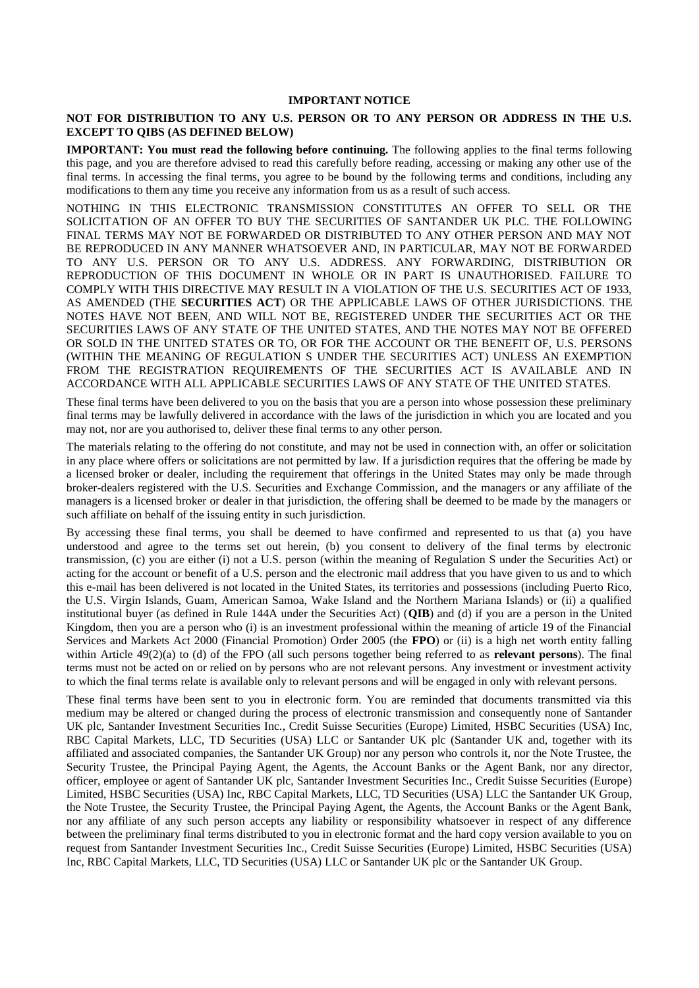## **IMPORTANT NOTICE**

#### **NOT FOR DISTRIBUTION TO ANY U.S. PERSON OR TO ANY PERSON OR ADDRESS IN THE U.S. EXCEPT TO QIBS (AS DEFINED BELOW)**

**IMPORTANT: You must read the following before continuing.** The following applies to the final terms following this page, and you are therefore advised to read this carefully before reading, accessing or making any other use of the final terms. In accessing the final terms, you agree to be bound by the following terms and conditions, including any modifications to them any time you receive any information from us as a result of such access.

NOTHING IN THIS ELECTRONIC TRANSMISSION CONSTITUTES AN OFFER TO SELL OR THE SOLICITATION OF AN OFFER TO BUY THE SECURITIES OF SANTANDER UK PLC. THE FOLLOWING FINAL TERMS MAY NOT BE FORWARDED OR DISTRIBUTED TO ANY OTHER PERSON AND MAY NOT BE REPRODUCED IN ANY MANNER WHATSOEVER AND, IN PARTICULAR, MAY NOT BE FORWARDED TO ANY U.S. PERSON OR TO ANY U.S. ADDRESS. ANY FORWARDING, DISTRIBUTION OR REPRODUCTION OF THIS DOCUMENT IN WHOLE OR IN PART IS UNAUTHORISED. FAILURE TO COMPLY WITH THIS DIRECTIVE MAY RESULT IN A VIOLATION OF THE U.S. SECURITIES ACT OF 1933, AS AMENDED (THE **SECURITIES ACT**) OR THE APPLICABLE LAWS OF OTHER JURISDICTIONS. THE NOTES HAVE NOT BEEN, AND WILL NOT BE, REGISTERED UNDER THE SECURITIES ACT OR THE SECURITIES LAWS OF ANY STATE OF THE UNITED STATES, AND THE NOTES MAY NOT BE OFFERED OR SOLD IN THE UNITED STATES OR TO, OR FOR THE ACCOUNT OR THE BENEFIT OF, U.S. PERSONS (WITHIN THE MEANING OF REGULATION S UNDER THE SECURITIES ACT) UNLESS AN EXEMPTION FROM THE REGISTRATION REQUIREMENTS OF THE SECURITIES ACT IS AVAILABLE AND IN ACCORDANCE WITH ALL APPLICABLE SECURITIES LAWS OF ANY STATE OF THE UNITED STATES.

These final terms have been delivered to you on the basis that you are a person into whose possession these preliminary final terms may be lawfully delivered in accordance with the laws of the jurisdiction in which you are located and you may not, nor are you authorised to, deliver these final terms to any other person.

The materials relating to the offering do not constitute, and may not be used in connection with, an offer or solicitation in any place where offers or solicitations are not permitted by law. If a jurisdiction requires that the offering be made by a licensed broker or dealer, including the requirement that offerings in the United States may only be made through broker-dealers registered with the U.S. Securities and Exchange Commission, and the managers or any affiliate of the managers is a licensed broker or dealer in that jurisdiction, the offering shall be deemed to be made by the managers or such affiliate on behalf of the issuing entity in such jurisdiction.

By accessing these final terms, you shall be deemed to have confirmed and represented to us that (a) you have understood and agree to the terms set out herein, (b) you consent to delivery of the final terms by electronic transmission, (c) you are either (i) not a U.S. person (within the meaning of Regulation S under the Securities Act) or acting for the account or benefit of a U.S. person and the electronic mail address that you have given to us and to which this e-mail has been delivered is not located in the United States, its territories and possessions (including Puerto Rico, the U.S. Virgin Islands, Guam, American Samoa, Wake Island and the Northern Mariana Islands) or (ii) a qualified institutional buyer (as defined in Rule 144A under the Securities Act) (**QIB**) and (d) if you are a person in the United Kingdom, then you are a person who (i) is an investment professional within the meaning of article 19 of the Financial Services and Markets Act 2000 (Financial Promotion) Order 2005 (the **FPO**) or (ii) is a high net worth entity falling within Article 49(2)(a) to (d) of the FPO (all such persons together being referred to as **relevant persons**). The final terms must not be acted on or relied on by persons who are not relevant persons. Any investment or investment activity to which the final terms relate is available only to relevant persons and will be engaged in only with relevant persons.

These final terms have been sent to you in electronic form. You are reminded that documents transmitted via this medium may be altered or changed during the process of electronic transmission and consequently none of Santander UK plc, Santander Investment Securities Inc., Credit Suisse Securities (Europe) Limited, HSBC Securities (USA) Inc, RBC Capital Markets, LLC, TD Securities (USA) LLC or Santander UK plc (Santander UK and, together with its affiliated and associated companies, the Santander UK Group) nor any person who controls it, nor the Note Trustee, the Security Trustee, the Principal Paying Agent, the Agents, the Account Banks or the Agent Bank, nor any director, officer, employee or agent of Santander UK plc, Santander Investment Securities Inc., Credit Suisse Securities (Europe) Limited, HSBC Securities (USA) Inc, RBC Capital Markets, LLC, TD Securities (USA) LLC the Santander UK Group, the Note Trustee, the Security Trustee, the Principal Paying Agent, the Agents, the Account Banks or the Agent Bank, nor any affiliate of any such person accepts any liability or responsibility whatsoever in respect of any difference between the preliminary final terms distributed to you in electronic format and the hard copy version available to you on request from Santander Investment Securities Inc., Credit Suisse Securities (Europe) Limited, HSBC Securities (USA) Inc, RBC Capital Markets, LLC, TD Securities (USA) LLC or Santander UK plc or the Santander UK Group.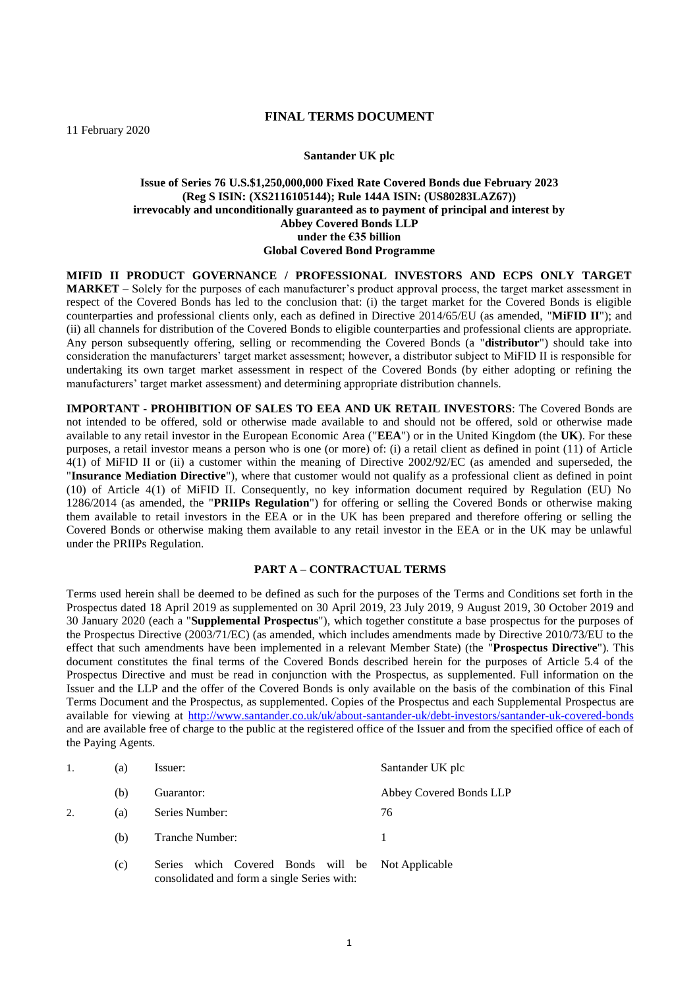## **FINAL TERMS DOCUMENT**

11 February 2020

#### **Santander UK plc**

## **Issue of Series 76 U.S.\$1,250,000,000 Fixed Rate Covered Bonds due February 2023 (Reg S ISIN: (XS2116105144); Rule 144A ISIN: (US80283LAZ67)) irrevocably and unconditionally guaranteed as to payment of principal and interest by Abbey Covered Bonds LLP under the €35 billion Global Covered Bond Programme**

**MIFID II PRODUCT GOVERNANCE / PROFESSIONAL INVESTORS AND ECPS ONLY TARGET MARKET** – Solely for the purposes of each manufacturer's product approval process, the target market assessment in respect of the Covered Bonds has led to the conclusion that: (i) the target market for the Covered Bonds is eligible counterparties and professional clients only, each as defined in Directive 2014/65/EU (as amended, "**MiFID II**"); and (ii) all channels for distribution of the Covered Bonds to eligible counterparties and professional clients are appropriate. Any person subsequently offering, selling or recommending the Covered Bonds (a "**distributor**") should take into consideration the manufacturers' target market assessment; however, a distributor subject to MiFID II is responsible for undertaking its own target market assessment in respect of the Covered Bonds (by either adopting or refining the manufacturers' target market assessment) and determining appropriate distribution channels.

**IMPORTANT - PROHIBITION OF SALES TO EEA AND UK RETAIL INVESTORS**: The Covered Bonds are not intended to be offered, sold or otherwise made available to and should not be offered, sold or otherwise made available to any retail investor in the European Economic Area ("**EEA**") or in the United Kingdom (the **UK**). For these purposes, a retail investor means a person who is one (or more) of: (i) a retail client as defined in point (11) of Article 4(1) of MiFID II or (ii) a customer within the meaning of Directive 2002/92/EC (as amended and superseded, the "**Insurance Mediation Directive**"), where that customer would not qualify as a professional client as defined in point (10) of Article 4(1) of MiFID II. Consequently, no key information document required by Regulation (EU) No 1286/2014 (as amended, the "**PRIIPs Regulation**") for offering or selling the Covered Bonds or otherwise making them available to retail investors in the EEA or in the UK has been prepared and therefore offering or selling the Covered Bonds or otherwise making them available to any retail investor in the EEA or in the UK may be unlawful under the PRIIPs Regulation.

#### **PART A – CONTRACTUAL TERMS**

Terms used herein shall be deemed to be defined as such for the purposes of the Terms and Conditions set forth in the Prospectus dated 18 April 2019 as supplemented on 30 April 2019, 23 July 2019, 9 August 2019, 30 October 2019 and 30 January 2020 (each a "**Supplemental Prospectus**"), which together constitute a base prospectus for the purposes of the Prospectus Directive (2003/71/EC) (as amended, which includes amendments made by Directive 2010/73/EU to the effect that such amendments have been implemented in a relevant Member State) (the "**Prospectus Directive**"). This document constitutes the final terms of the Covered Bonds described herein for the purposes of Article 5.4 of the Prospectus Directive and must be read in conjunction with the Prospectus, as supplemented. Full information on the Issuer and the LLP and the offer of the Covered Bonds is only available on the basis of the combination of this Final Terms Document and the Prospectus, as supplemented. Copies of the Prospectus and each Supplemental Prospectus are available for viewing at<http://www.santander.co.uk/uk/about-santander-uk/debt-investors/santander-uk-covered-bonds> and are available free of charge to the public at the registered office of the Issuer and from the specified office of each of the Paying Agents.

|    | (a) | Issuer:                                                                                                    | Santander UK plc        |
|----|-----|------------------------------------------------------------------------------------------------------------|-------------------------|
|    | (b) | Guarantor:                                                                                                 | Abbey Covered Bonds LLP |
| 2. | (a) | Series Number:                                                                                             | 76                      |
|    | (b) | Tranche Number:                                                                                            |                         |
|    | (c) | which Covered Bonds will be Not Applicable<br><b>Series</b><br>consolidated and form a single Series with: |                         |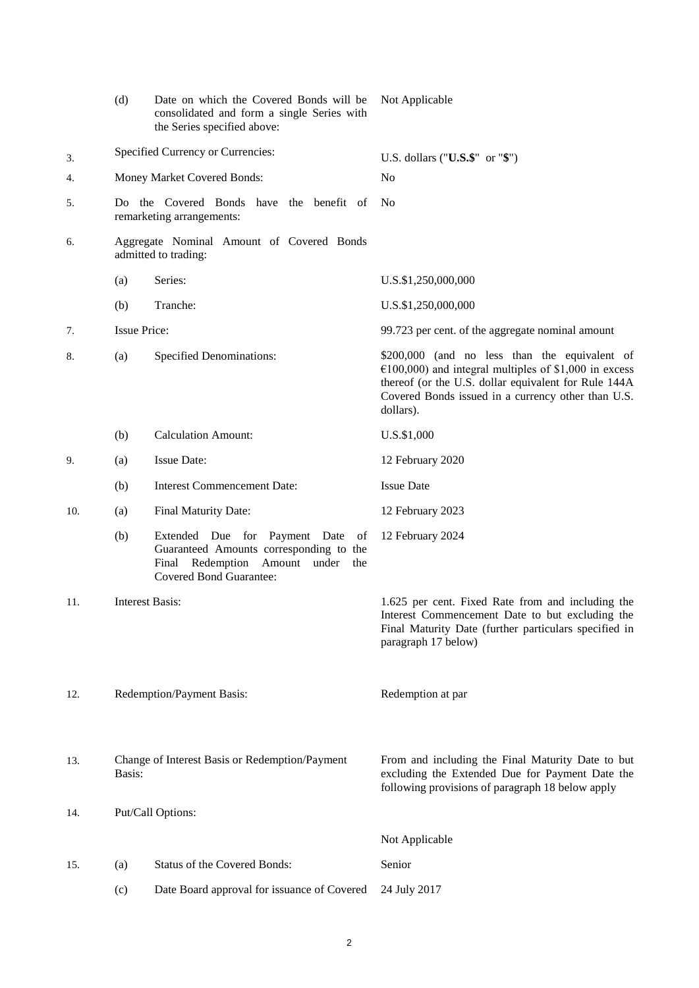|     | (d)                    | Date on which the Covered Bonds will be<br>consolidated and form a single Series with<br>the Series specified above:                                  | Not Applicable                                                                                                                                                                                                                       |
|-----|------------------------|-------------------------------------------------------------------------------------------------------------------------------------------------------|--------------------------------------------------------------------------------------------------------------------------------------------------------------------------------------------------------------------------------------|
| 3.  |                        | Specified Currency or Currencies:                                                                                                                     | U.S. dollars (" $\mathbf{U.S.}\$ " or " $\mathbf{\$}$ ")                                                                                                                                                                             |
| 4.  |                        | Money Market Covered Bonds:                                                                                                                           | N <sub>0</sub>                                                                                                                                                                                                                       |
| 5.  |                        | Do the Covered Bonds have the benefit of<br>remarketing arrangements:                                                                                 | No                                                                                                                                                                                                                                   |
| 6.  |                        | Aggregate Nominal Amount of Covered Bonds<br>admitted to trading:                                                                                     |                                                                                                                                                                                                                                      |
|     | (a)                    | Series:                                                                                                                                               | U.S.\$1,250,000,000                                                                                                                                                                                                                  |
|     | (b)                    | Tranche:                                                                                                                                              | U.S.\$1,250,000,000                                                                                                                                                                                                                  |
| 7.  | <b>Issue Price:</b>    |                                                                                                                                                       | 99.723 per cent. of the aggregate nominal amount                                                                                                                                                                                     |
| 8.  | (a)                    | <b>Specified Denominations:</b>                                                                                                                       | \$200,000 (and no less than the equivalent of<br>$€100,000$ ) and integral multiples of \$1,000 in excess<br>thereof (or the U.S. dollar equivalent for Rule 144A<br>Covered Bonds issued in a currency other than U.S.<br>dollars). |
|     | (b)                    | <b>Calculation Amount:</b>                                                                                                                            | U.S.\$1,000                                                                                                                                                                                                                          |
| 9.  | (a)                    | <b>Issue Date:</b>                                                                                                                                    | 12 February 2020                                                                                                                                                                                                                     |
|     | (b)                    | <b>Interest Commencement Date:</b>                                                                                                                    | <b>Issue Date</b>                                                                                                                                                                                                                    |
| 10. | (a)                    | Final Maturity Date:                                                                                                                                  | 12 February 2023                                                                                                                                                                                                                     |
|     | (b)                    | Extended Due for Payment Date of<br>Guaranteed Amounts corresponding to the<br>Final Redemption Amount under<br>the<br><b>Covered Bond Guarantee:</b> | 12 February 2024                                                                                                                                                                                                                     |
| 11. | <b>Interest Basis:</b> |                                                                                                                                                       | 1.625 per cent. Fixed Rate from and including the<br>Interest Commencement Date to but excluding the<br>Final Maturity Date (further particulars specified in<br>paragraph 17 below)                                                 |
| 12. |                        | Redemption/Payment Basis:                                                                                                                             | Redemption at par                                                                                                                                                                                                                    |
| 13. | Basis:                 | Change of Interest Basis or Redemption/Payment                                                                                                        | From and including the Final Maturity Date to but<br>excluding the Extended Due for Payment Date the<br>following provisions of paragraph 18 below apply                                                                             |
| 14. |                        | Put/Call Options:                                                                                                                                     |                                                                                                                                                                                                                                      |
|     |                        |                                                                                                                                                       | Not Applicable                                                                                                                                                                                                                       |
| 15. | (a)                    | <b>Status of the Covered Bonds:</b>                                                                                                                   | Senior                                                                                                                                                                                                                               |
|     | (c)                    | Date Board approval for issuance of Covered                                                                                                           | 24 July 2017                                                                                                                                                                                                                         |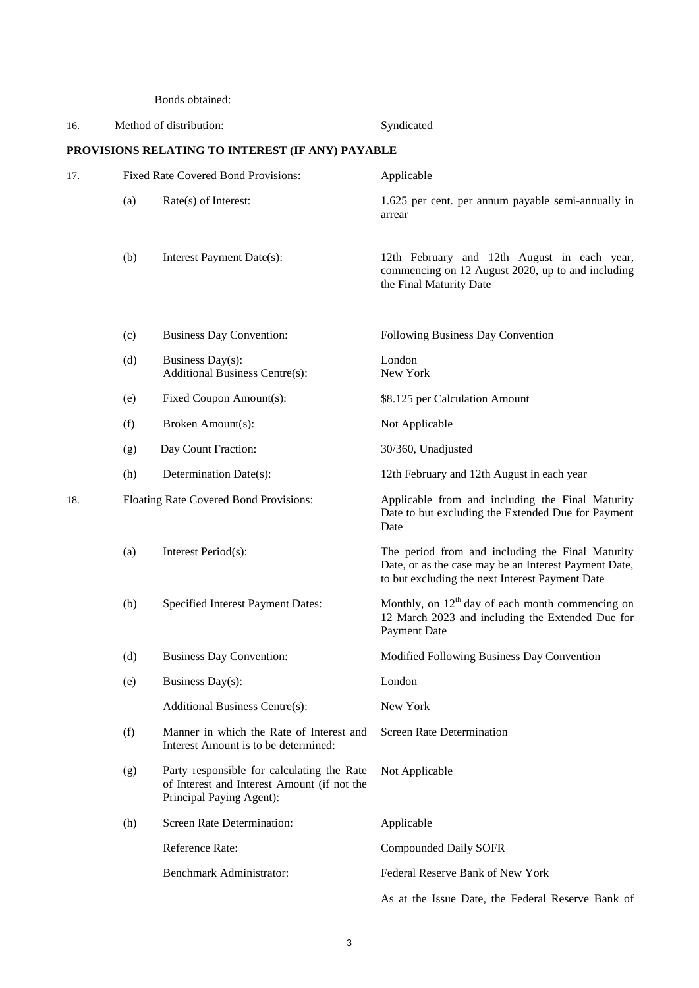Bonds obtained:

| 16. |                                                  | Method of distribution:                                                                                               | Syndicated                                                                                                                                                   |  |  |
|-----|--------------------------------------------------|-----------------------------------------------------------------------------------------------------------------------|--------------------------------------------------------------------------------------------------------------------------------------------------------------|--|--|
|     | PROVISIONS RELATING TO INTEREST (IF ANY) PAYABLE |                                                                                                                       |                                                                                                                                                              |  |  |
| 17. |                                                  | Fixed Rate Covered Bond Provisions:                                                                                   | Applicable                                                                                                                                                   |  |  |
|     | (a)                                              | Rate(s) of Interest:                                                                                                  | 1.625 per cent. per annum payable semi-annually in<br>arrear                                                                                                 |  |  |
|     | (b)                                              | Interest Payment Date(s):                                                                                             | 12th February and 12th August in each year,<br>commencing on 12 August 2020, up to and including<br>the Final Maturity Date                                  |  |  |
|     | (c)                                              | <b>Business Day Convention:</b>                                                                                       | Following Business Day Convention                                                                                                                            |  |  |
|     | (d)                                              | Business Day(s):<br><b>Additional Business Centre(s):</b>                                                             | London<br>New York                                                                                                                                           |  |  |
|     | (e)                                              | Fixed Coupon Amount(s):                                                                                               | \$8.125 per Calculation Amount                                                                                                                               |  |  |
|     | (f)                                              | Broken Amount(s):                                                                                                     | Not Applicable                                                                                                                                               |  |  |
|     | (g)                                              | Day Count Fraction:                                                                                                   | 30/360, Unadjusted                                                                                                                                           |  |  |
|     | (h)                                              | Determination Date(s):                                                                                                | 12th February and 12th August in each year                                                                                                                   |  |  |
| 18. |                                                  | Floating Rate Covered Bond Provisions:                                                                                | Applicable from and including the Final Maturity<br>Date to but excluding the Extended Due for Payment<br>Date                                               |  |  |
|     | (a)                                              | Interest Period(s):                                                                                                   | The period from and including the Final Maturity<br>Date, or as the case may be an Interest Payment Date,<br>to but excluding the next Interest Payment Date |  |  |
|     | (b)                                              | Specified Interest Payment Dates:                                                                                     | Monthly, on $12th$ day of each month commencing on<br>12 March 2023 and including the Extended Due for<br>Payment Date                                       |  |  |
|     | (d)                                              | <b>Business Day Convention:</b>                                                                                       | Modified Following Business Day Convention                                                                                                                   |  |  |
|     | (e)                                              | Business Day(s):                                                                                                      | London                                                                                                                                                       |  |  |
|     |                                                  | <b>Additional Business Centre(s):</b>                                                                                 | New York                                                                                                                                                     |  |  |
|     | (f)                                              | Manner in which the Rate of Interest and<br>Interest Amount is to be determined:                                      | <b>Screen Rate Determination</b>                                                                                                                             |  |  |
|     | (g)                                              | Party responsible for calculating the Rate<br>of Interest and Interest Amount (if not the<br>Principal Paying Agent): | Not Applicable                                                                                                                                               |  |  |
|     | (h)                                              | <b>Screen Rate Determination:</b>                                                                                     | Applicable                                                                                                                                                   |  |  |
|     |                                                  | Reference Rate:                                                                                                       | <b>Compounded Daily SOFR</b>                                                                                                                                 |  |  |
|     |                                                  | Benchmark Administrator:                                                                                              | Federal Reserve Bank of New York                                                                                                                             |  |  |
|     |                                                  |                                                                                                                       | As at the Issue Date, the Federal Reserve Bank of                                                                                                            |  |  |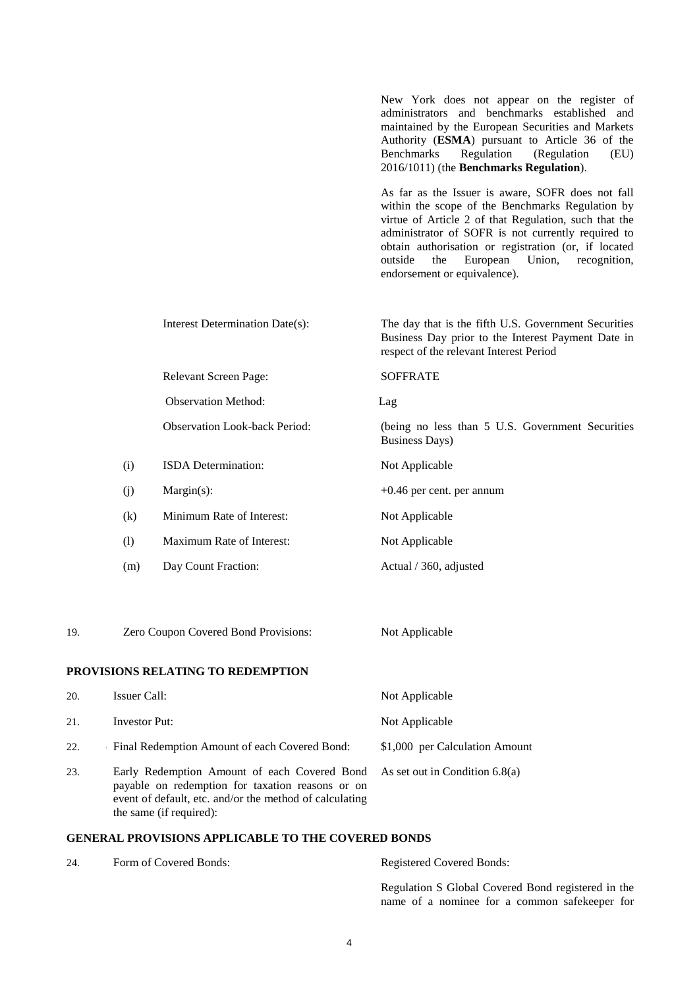|     |     |                                      | New York does not appear on the register of<br>administrators and benchmarks established and<br>maintained by the European Securities and Markets<br>Authority (ESMA) pursuant to Article 36 of the<br><b>Benchmarks</b><br>Regulation<br>(Regulation<br>(EU)<br>2016/1011) (the Benchmarks Regulation).                                                             |
|-----|-----|--------------------------------------|----------------------------------------------------------------------------------------------------------------------------------------------------------------------------------------------------------------------------------------------------------------------------------------------------------------------------------------------------------------------|
|     |     |                                      | As far as the Issuer is aware, SOFR does not fall<br>within the scope of the Benchmarks Regulation by<br>virtue of Article 2 of that Regulation, such that the<br>administrator of SOFR is not currently required to<br>obtain authorisation or registration (or, if located<br>outside<br>European<br>Union,<br>the<br>recognition,<br>endorsement or equivalence). |
|     |     | Interest Determination Date(s):      | The day that is the fifth U.S. Government Securities<br>Business Day prior to the Interest Payment Date in<br>respect of the relevant Interest Period                                                                                                                                                                                                                |
|     |     | Relevant Screen Page:                | <b>SOFFRATE</b>                                                                                                                                                                                                                                                                                                                                                      |
|     |     | <b>Observation Method:</b>           | Lag                                                                                                                                                                                                                                                                                                                                                                  |
|     |     | <b>Observation Look-back Period:</b> | (being no less than 5 U.S. Government Securities<br><b>Business Days)</b>                                                                                                                                                                                                                                                                                            |
|     | (i) | ISDA Determination:                  | Not Applicable                                                                                                                                                                                                                                                                                                                                                       |
|     | (j) | $Margin(s)$ :                        | $+0.46$ per cent. per annum                                                                                                                                                                                                                                                                                                                                          |
|     | (k) | Minimum Rate of Interest:            | Not Applicable                                                                                                                                                                                                                                                                                                                                                       |
|     | (1) | Maximum Rate of Interest:            | Not Applicable                                                                                                                                                                                                                                                                                                                                                       |
|     | (m) | Day Count Fraction:                  | Actual / 360, adjusted                                                                                                                                                                                                                                                                                                                                               |
| 19. |     | Zero Coupon Covered Bond Provisions: | Not Applicable                                                                                                                                                                                                                                                                                                                                                       |
|     |     | PROVISIONS RELATING TO REDEMPTION    |                                                                                                                                                                                                                                                                                                                                                                      |

# **PROVISIC**

| 20. | Issuer Call:                                                                                                                                                                           | Not Applicable                   |
|-----|----------------------------------------------------------------------------------------------------------------------------------------------------------------------------------------|----------------------------------|
| 21. | Investor Put:                                                                                                                                                                          | Not Applicable                   |
| 22. | <b>Final Redemption Amount of each Covered Bond:</b>                                                                                                                                   | \$1,000 per Calculation Amount   |
| 23. | Early Redemption Amount of each Covered Bond<br>payable on redemption for taxation reasons or on<br>event of default, etc. and/or the method of calculating<br>the same (if required): | As set out in Condition $6.8(a)$ |

# **GENERAL PROVISIONS APPLICABLE TO THE COVERED BONDS**

| 24. | Form of Covered Bonds: | <b>Registered Covered Bonds:</b>                                                                    |
|-----|------------------------|-----------------------------------------------------------------------------------------------------|
|     |                        | Regulation S Global Covered Bond registered in the<br>name of a nominee for a common safekeeper for |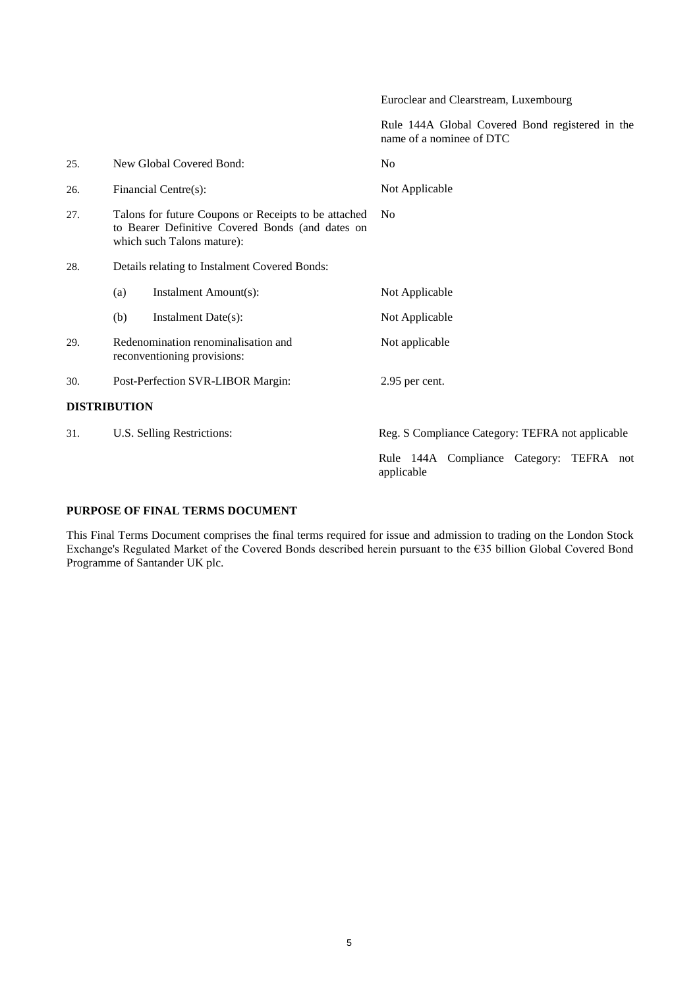Euroclear and Clearstream, Luxembourg

Rule 144A Global Covered Bond registered in the name of a nominee of DTC

| 25. | New Global Covered Bond:                                                                                                               | N <sub>0</sub>                                         |
|-----|----------------------------------------------------------------------------------------------------------------------------------------|--------------------------------------------------------|
| 26. | Financial Centre(s):                                                                                                                   | Not Applicable                                         |
| 27. | Talons for future Coupons or Receipts to be attached<br>to Bearer Definitive Covered Bonds (and dates on<br>which such Talons mature): | N <sub>0</sub>                                         |
| 28. | Details relating to Instalment Covered Bonds:                                                                                          |                                                        |
|     | Instalment Amount(s):<br>(a)                                                                                                           | Not Applicable                                         |
|     | (b)<br>Instalment Date(s):                                                                                                             | Not Applicable                                         |
| 29. | Redenomination renominalisation and<br>reconventioning provisions:                                                                     | Not applicable                                         |
| 30. | Post-Perfection SVR-LIBOR Margin:                                                                                                      | 2.95 per cent.                                         |
|     | <b>DISTRIBUTION</b>                                                                                                                    |                                                        |
| 31. | U.S. Selling Restrictions:                                                                                                             | Reg. S Compliance Category: TEFRA not applicable       |
|     |                                                                                                                                        | Rule 144A Compliance Category: TEFRA not<br>applicable |

# **PURPOSE OF FINAL TERMS DOCUMENT**

This Final Terms Document comprises the final terms required for issue and admission to trading on the London Stock Exchange's Regulated Market of the Covered Bonds described herein pursuant to the €35 billion Global Covered Bond Programme of Santander UK plc.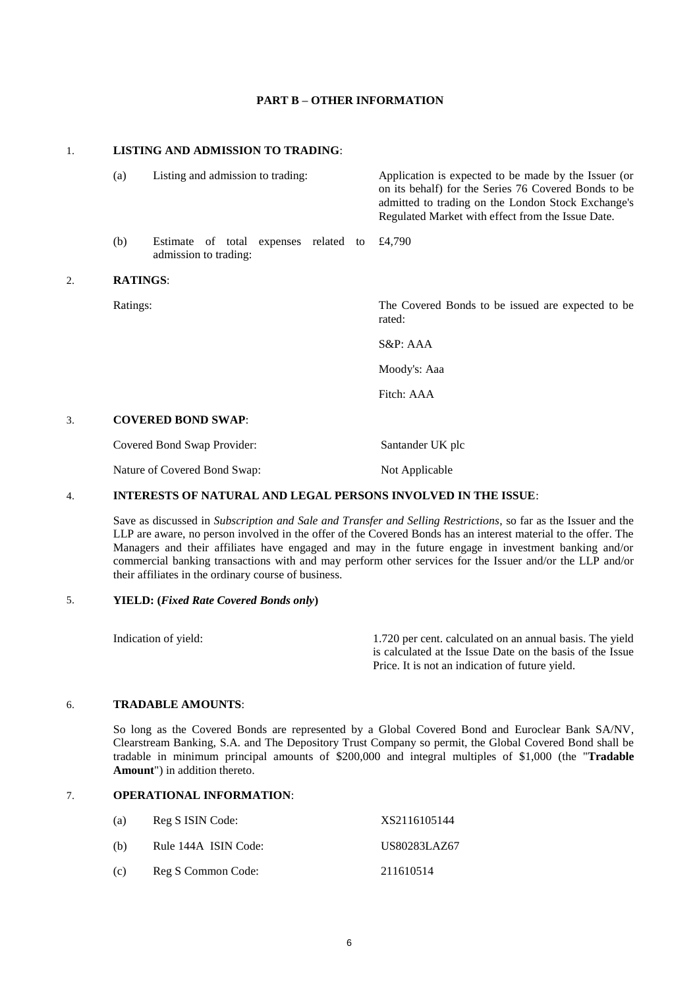# **PART B – OTHER INFORMATION**

## 1. **LISTING AND ADMISSION TO TRADING**:

|    | (a)             | Listing and admission to trading:                              | Application is expected to be made by the Issuer (or<br>on its behalf) for the Series 76 Covered Bonds to be<br>admitted to trading on the London Stock Exchange's<br>Regulated Market with effect from the Issue Date. |
|----|-----------------|----------------------------------------------------------------|-------------------------------------------------------------------------------------------------------------------------------------------------------------------------------------------------------------------------|
|    | (b)             | Estimate of total expenses related to<br>admission to trading: | £4,790                                                                                                                                                                                                                  |
| 2. | <b>RATINGS:</b> |                                                                |                                                                                                                                                                                                                         |
|    | Ratings:        |                                                                | The Covered Bonds to be issued are expected to be<br>rated:                                                                                                                                                             |
|    |                 |                                                                | $S\&P: AAA$                                                                                                                                                                                                             |
|    |                 |                                                                | Moody's: Aaa                                                                                                                                                                                                            |
|    |                 |                                                                | Fitch: AAA                                                                                                                                                                                                              |
| 3. |                 | <b>COVERED BOND SWAP:</b>                                      |                                                                                                                                                                                                                         |
|    |                 | Covered Bond Swap Provider:                                    | Santander UK plc                                                                                                                                                                                                        |
|    |                 | Nature of Covered Bond Swap:                                   | Not Applicable                                                                                                                                                                                                          |
|    |                 |                                                                |                                                                                                                                                                                                                         |

# 4. **INTERESTS OF NATURAL AND LEGAL PERSONS INVOLVED IN THE ISSUE**:

Save as discussed in *Subscription and Sale and Transfer and Selling Restrictions*, so far as the Issuer and the LLP are aware, no person involved in the offer of the Covered Bonds has an interest material to the offer. The Managers and their affiliates have engaged and may in the future engage in investment banking and/or commercial banking transactions with and may perform other services for the Issuer and/or the LLP and/or their affiliates in the ordinary course of business.

# 5. **YIELD: (***Fixed Rate Covered Bonds only***)**

| Indication of yield: | 1.720 per cent. calculated on an annual basis. The yield  |
|----------------------|-----------------------------------------------------------|
|                      | is calculated at the Issue Date on the basis of the Issue |
|                      | Price. It is not an indication of future vield.           |

#### 6. **TRADABLE AMOUNTS**:

So long as the Covered Bonds are represented by a Global Covered Bond and Euroclear Bank SA/NV, Clearstream Banking, S.A. and The Depository Trust Company so permit, the Global Covered Bond shall be tradable in minimum principal amounts of \$200,000 and integral multiples of \$1,000 (the "**Tradable Amount**") in addition thereto.

## 7. **OPERATIONAL INFORMATION**:

| (a) | Reg S ISIN Code:     | XS2116105144 |
|-----|----------------------|--------------|
| (b) | Rule 144A ISIN Code: | US80283LAZ67 |
| (c) | Reg S Common Code:   | 211610514    |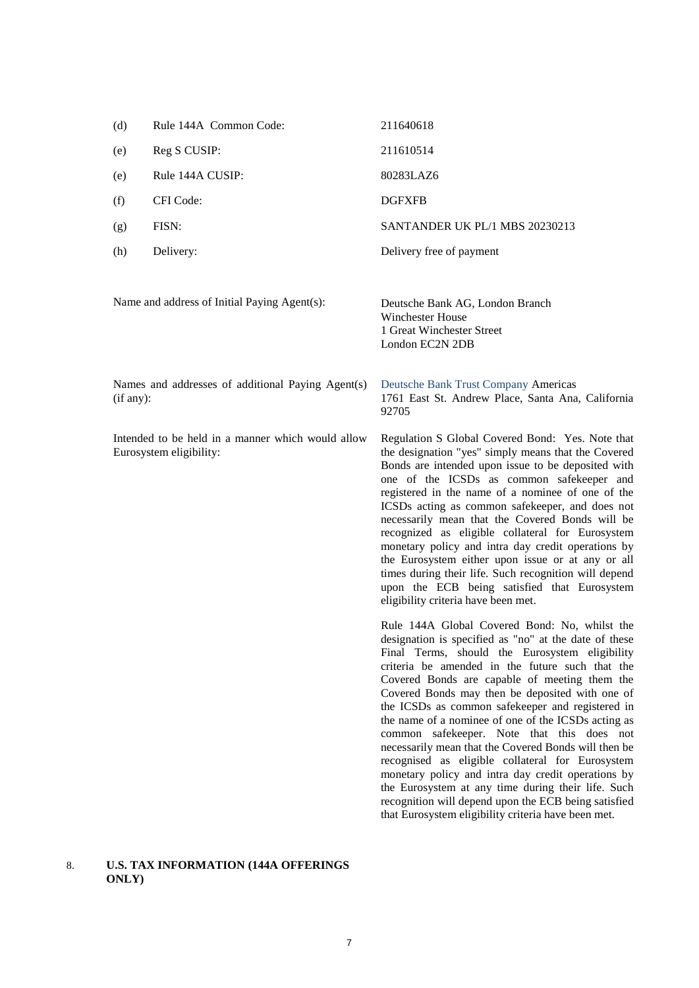| (d)                                                                          | Rule 144A Common Code:                            | 211640618                                                                                                                                                                                                                                                                                                                                                                                                                                                                                                                                                                                                                                                                                                                                                                                                       |
|------------------------------------------------------------------------------|---------------------------------------------------|-----------------------------------------------------------------------------------------------------------------------------------------------------------------------------------------------------------------------------------------------------------------------------------------------------------------------------------------------------------------------------------------------------------------------------------------------------------------------------------------------------------------------------------------------------------------------------------------------------------------------------------------------------------------------------------------------------------------------------------------------------------------------------------------------------------------|
| (e)                                                                          | Reg S CUSIP:                                      | 211610514                                                                                                                                                                                                                                                                                                                                                                                                                                                                                                                                                                                                                                                                                                                                                                                                       |
| (e)                                                                          | Rule 144A CUSIP:                                  | 80283LAZ6                                                                                                                                                                                                                                                                                                                                                                                                                                                                                                                                                                                                                                                                                                                                                                                                       |
| (f)                                                                          | CFI Code:                                         | <b>DGFXFB</b>                                                                                                                                                                                                                                                                                                                                                                                                                                                                                                                                                                                                                                                                                                                                                                                                   |
| (g)                                                                          | FISN:                                             | SANTANDER UK PL/1 MBS 20230213                                                                                                                                                                                                                                                                                                                                                                                                                                                                                                                                                                                                                                                                                                                                                                                  |
| (h)                                                                          | Delivery:                                         | Delivery free of payment                                                                                                                                                                                                                                                                                                                                                                                                                                                                                                                                                                                                                                                                                                                                                                                        |
|                                                                              | Name and address of Initial Paying Agent(s):      | Deutsche Bank AG, London Branch<br><b>Winchester House</b><br>1 Great Winchester Street<br>London EC2N 2DB                                                                                                                                                                                                                                                                                                                                                                                                                                                                                                                                                                                                                                                                                                      |
| (if any):                                                                    | Names and addresses of additional Paying Agent(s) | Deutsche Bank Trust Company Americas<br>1761 East St. Andrew Place, Santa Ana, California<br>92705                                                                                                                                                                                                                                                                                                                                                                                                                                                                                                                                                                                                                                                                                                              |
| Intended to be held in a manner which would allow<br>Eurosystem eligibility: |                                                   | Regulation S Global Covered Bond: Yes. Note that<br>the designation "yes" simply means that the Covered<br>Bonds are intended upon issue to be deposited with<br>one of the ICSDs as common safekeeper and<br>registered in the name of a nominee of one of the<br>ICSDs acting as common safekeeper, and does not<br>necessarily mean that the Covered Bonds will be<br>recognized as eligible collateral for Eurosystem<br>monetary policy and intra day credit operations by<br>the Eurosystem either upon issue or at any or all<br>times during their life. Such recognition will depend<br>upon the ECB being satisfied that Eurosystem<br>eligibility criteria have been met.                                                                                                                            |
|                                                                              |                                                   | Rule 144A Global Covered Bond: No, whilst the<br>designation is specified as "no" at the date of these<br>Final Terms, should the Eurosystem eligibility<br>criteria be amended in the future such that the<br>Covered Bonds are capable of meeting them the<br>Covered Bonds may then be deposited with one of<br>the ICSDs as common safekeeper and registered in<br>the name of a nominee of one of the ICSDs acting as<br>common safekeeper. Note that this does not<br>necessarily mean that the Covered Bonds will then be<br>recognised as eligible collateral for Eurosystem<br>monetary policy and intra day credit operations by<br>the Eurosystem at any time during their life. Such<br>recognition will depend upon the ECB being satisfied<br>that Eurosystem eligibility criteria have been met. |

# 8. **U.S. TAX INFORMATION (144A OFFERINGS ONLY)**